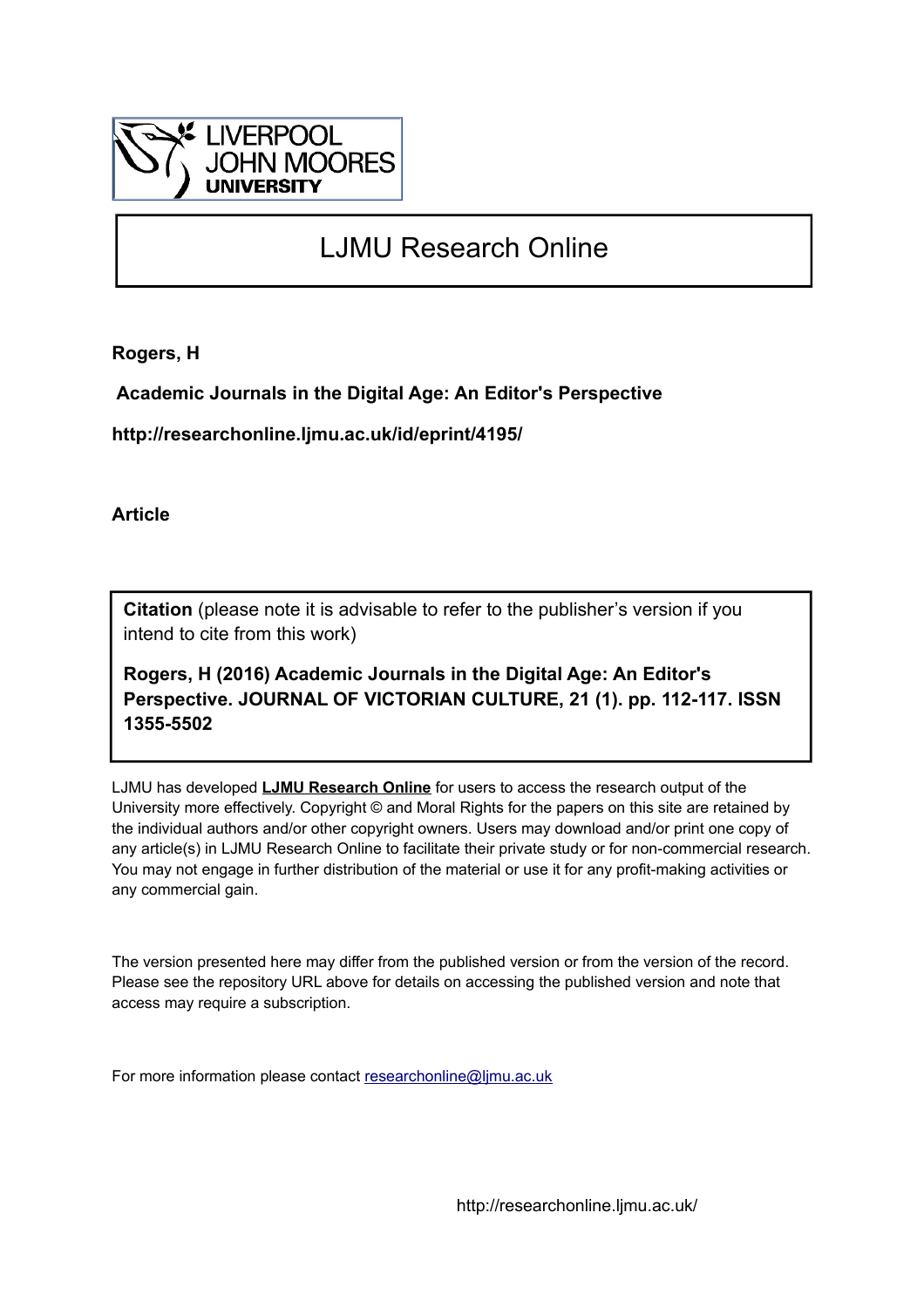

## LJMU Research Online

**Rogers, H**

 **Academic Journals in the Digital Age: An Editor's Perspective**

**http://researchonline.ljmu.ac.uk/id/eprint/4195/**

**Article**

**Citation** (please note it is advisable to refer to the publisher's version if you intend to cite from this work)

**Rogers, H (2016) Academic Journals in the Digital Age: An Editor's Perspective. JOURNAL OF VICTORIAN CULTURE, 21 (1). pp. 112-117. ISSN 1355-5502** 

LJMU has developed **[LJMU Research Online](http://researchonline.ljmu.ac.uk/)** for users to access the research output of the University more effectively. Copyright © and Moral Rights for the papers on this site are retained by the individual authors and/or other copyright owners. Users may download and/or print one copy of any article(s) in LJMU Research Online to facilitate their private study or for non-commercial research. You may not engage in further distribution of the material or use it for any profit-making activities or any commercial gain.

The version presented here may differ from the published version or from the version of the record. Please see the repository URL above for details on accessing the published version and note that access may require a subscription.

For more information please contact [researchonline@ljmu.ac.uk](mailto:researchonline@ljmu.ac.uk)

http://researchonline.ljmu.ac.uk/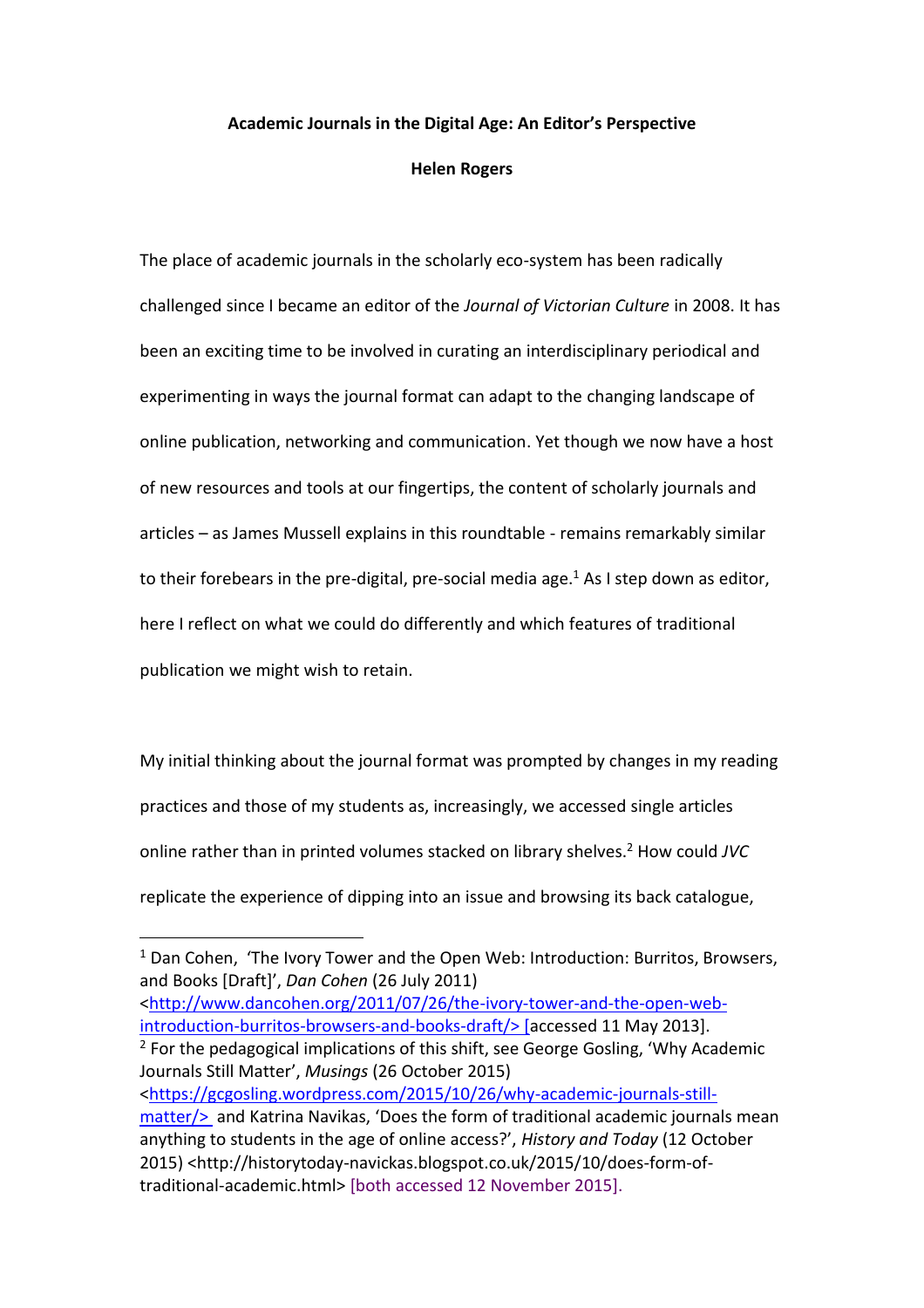## **Academic Journals in the Digital Age: An Editor's Perspective**

## **Helen Rogers**

The place of academic journals in the scholarly eco-system has been radically challenged since I became an editor of the *Journal of Victorian Culture* in 2008. It has been an exciting time to be involved in curating an interdisciplinary periodical and experimenting in ways the journal format can adapt to the changing landscape of online publication, networking and communication. Yet though we now have a host of new resources and tools at our fingertips, the content of scholarly journals and articles – as James Mussell explains in this roundtable - remains remarkably similar to their forebears in the pre-digital, pre-social media age. $<sup>1</sup>$  As I step down as editor,</sup> here I reflect on what we could do differently and which features of traditional publication we might wish to retain.

My initial thinking about the journal format was prompted by changes in my reading practices and those of my students as, increasingly, we accessed single articles online rather than in printed volumes stacked on library shelves. <sup>2</sup> How could *JVC* replicate the experience of dipping into an issue and browsing its back catalogue,

[<http://www.dancohen.org/2011/07/26/the-ivory-tower-and-the-open-web](http://www.dancohen.org/2011/07/26/the-ivory-tower-and-the-open-web-introduction-burritos-browsers-and-books-draft/)[introduction-burritos-browsers-and-books-draft/>](http://www.dancohen.org/2011/07/26/the-ivory-tower-and-the-open-web-introduction-burritos-browsers-and-books-draft/) [accessed 11 May 2013].

 $\overline{a}$ 

 $2$  For the pedagogical implications of this shift, see George Gosling, 'Why Academic Journals Still Matter', *Musings* (26 October 2015) [<https://gcgosling.wordpress.com/2015/10/26/why-academic-journals-still](https://gcgosling.wordpress.com/2015/10/26/why-academic-journals-still-matter/)[matter/>](https://gcgosling.wordpress.com/2015/10/26/why-academic-journals-still-matter/) and Katrina Navikas, 'Does the form of traditional academic journals mean anything to students in the age of online access?', *History and Today* (12 October 2015) <http://historytoday-navickas.blogspot.co.uk/2015/10/does-form-oftraditional-academic.html> [both accessed 12 November 2015].

 $1$  Dan Cohen, 'The Ivory Tower and the Open Web: Introduction: Burritos, Browsers, and Books [Draft]', *Dan Cohen* (26 July 2011)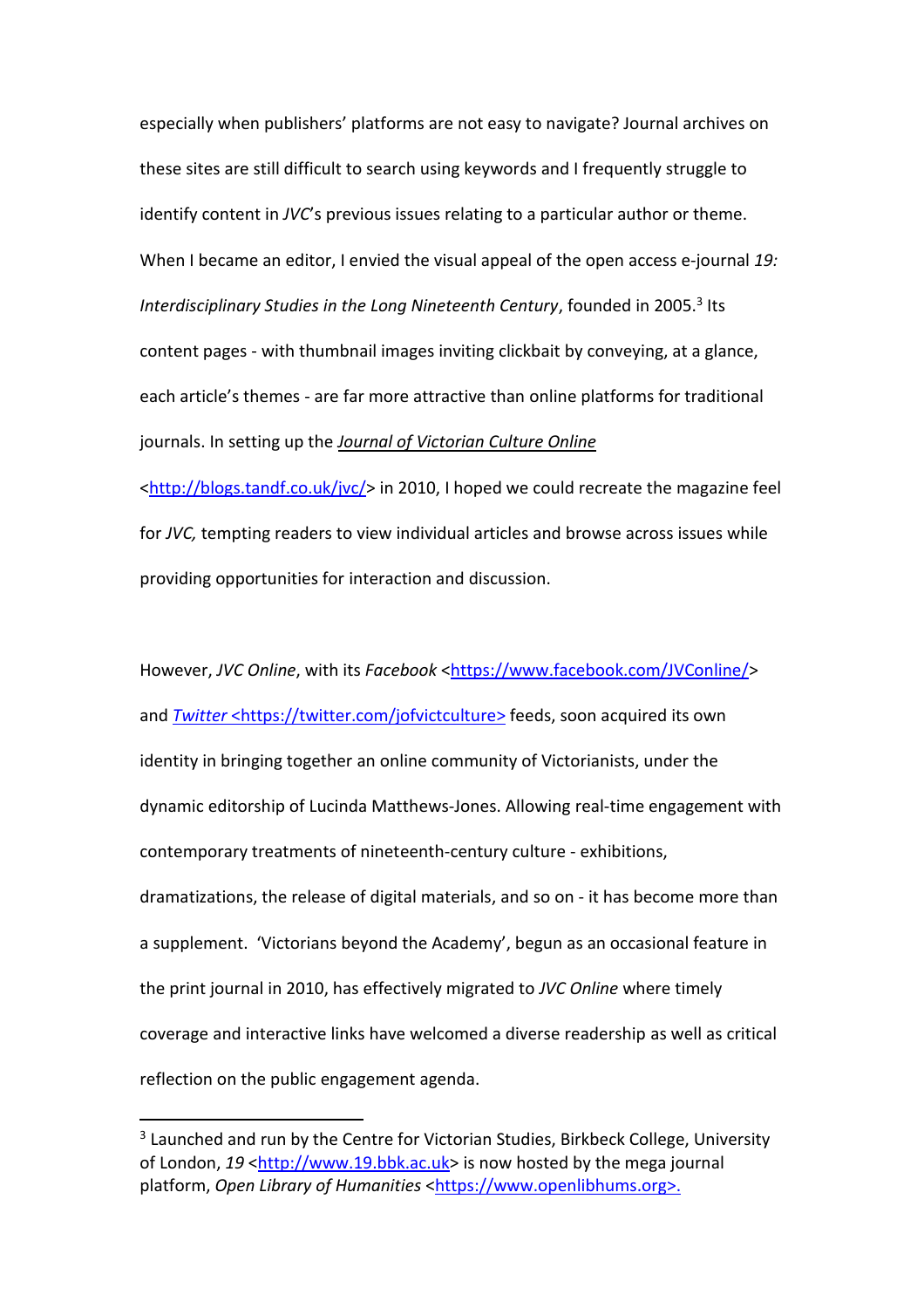especially when publishers' platforms are not easy to navigate? Journal archives on these sites are still difficult to search using keywords and I frequently struggle to identify content in *JVC*'s previous issues relating to a particular author or theme. When I became an editor, I envied the visual appeal of the open access e-journal *19: Interdisciplinary Studies in the Long Nineteenth Century*, founded in 2005.<sup>3</sup> Its content pages - with thumbnail images inviting clickbait by conveying, at a glance, each article's themes - are far more attractive than online platforms for traditional journals. In setting up the *Journal of Victorian Culture Online*

 $\frac{\text{th}}{\text{th}}$  //blogs.tandf.co.uk/jvc/> in 2010, I hoped we could recreate the magazine feel for *JVC,* tempting readers to view individual articles and browse across issues while providing opportunities for interaction and discussion.

However, *JVC Online*, with its *Facebook* [<https://www.facebook.com/JVConline/>](https://www.facebook.com/JVConline/) and *[Twitter](https://twitter.com/jofvictculture)* [<https://twitter.com/jofvictculture>](https://twitter.com/jofvictculture) feeds, soon acquired its own identity in bringing together an online community of Victorianists, under the dynamic editorship of Lucinda Matthews-Jones. Allowing real-time engagement with contemporary treatments of nineteenth-century culture - exhibitions, dramatizations, the release of digital materials, and so on - it has become more than a supplement. 'Victorians beyond the Academy', begun as an occasional feature in the print journal in 2010, has effectively migrated to *JVC Online* where timely coverage and interactive links have welcomed a diverse readership as well as critical reflection on the public engagement agenda.

 $\overline{\phantom{a}}$ 

<sup>&</sup>lt;sup>3</sup> Launched and run by the Centre for Victorian Studies, Birkbeck College, University of London, 19 [<http://www.19.bbk.ac.uk>](http://www.19.bbk.ac.uk/) is now hosted by the mega journal platform, *Open Library of Humanities* [<https://www.openlibhums.org>](https://www.openlibhums.org/).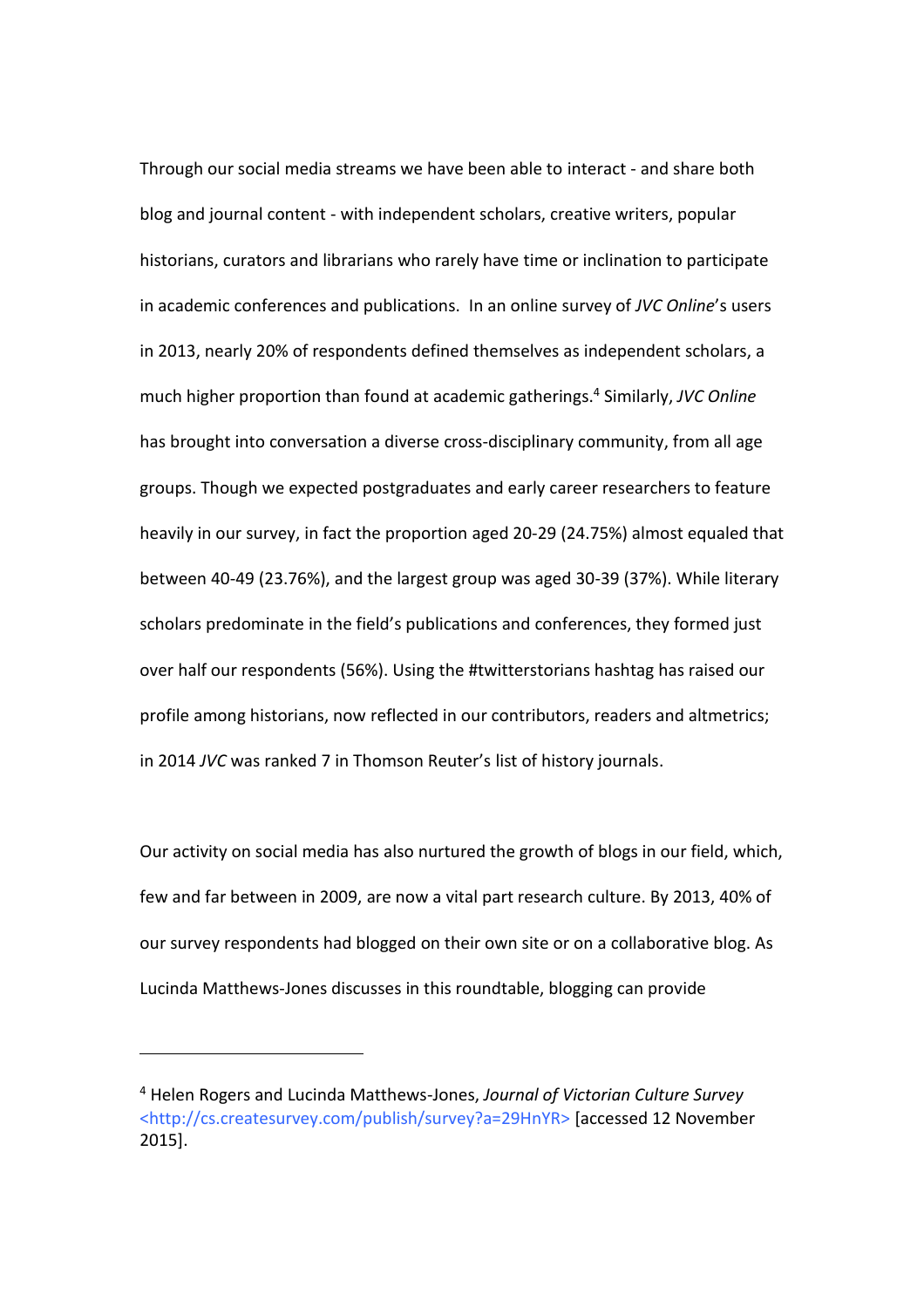Through our social media streams we have been able to interact - and share both blog and journal content - with independent scholars, creative writers, popular historians, curators and librarians who rarely have time or inclination to participate in academic conferences and publications. In an online survey of *JVC Online*'s users in 2013, nearly 20% of respondents defined themselves as independent scholars, a much higher proportion than found at academic gatherings. <sup>4</sup> Similarly, *JVC Online* has brought into conversation a diverse cross-disciplinary community, from all age groups. Though we expected postgraduates and early career researchers to feature heavily in our survey, in fact the proportion aged 20-29 (24.75%) almost equaled that between 40-49 (23.76%), and the largest group was aged 30-39 (37%). While literary scholars predominate in the field's publications and conferences, they formed just over half our respondents (56%). Using the #twitterstorians hashtag has raised our profile among historians, now reflected in our contributors, readers and altmetrics; in 2014 *JVC* was ranked 7 in Thomson Reuter's list of history journals.

Our activity on social media has also nurtured the growth of blogs in our field, which, few and far between in 2009, are now a vital part research culture. By 2013, 40% of our survey respondents had blogged on their own site or on a collaborative blog. As Lucinda Matthews-Jones discusses in this roundtable, blogging can provide

 $\overline{\phantom{a}}$ 

<sup>4</sup> Helen Rogers and Lucinda Matthews-Jones, *Journal of Victorian Culture Survey*  <http://cs.createsurvey.com/publish/survey?a=29HnYR> [accessed 12 November 2015].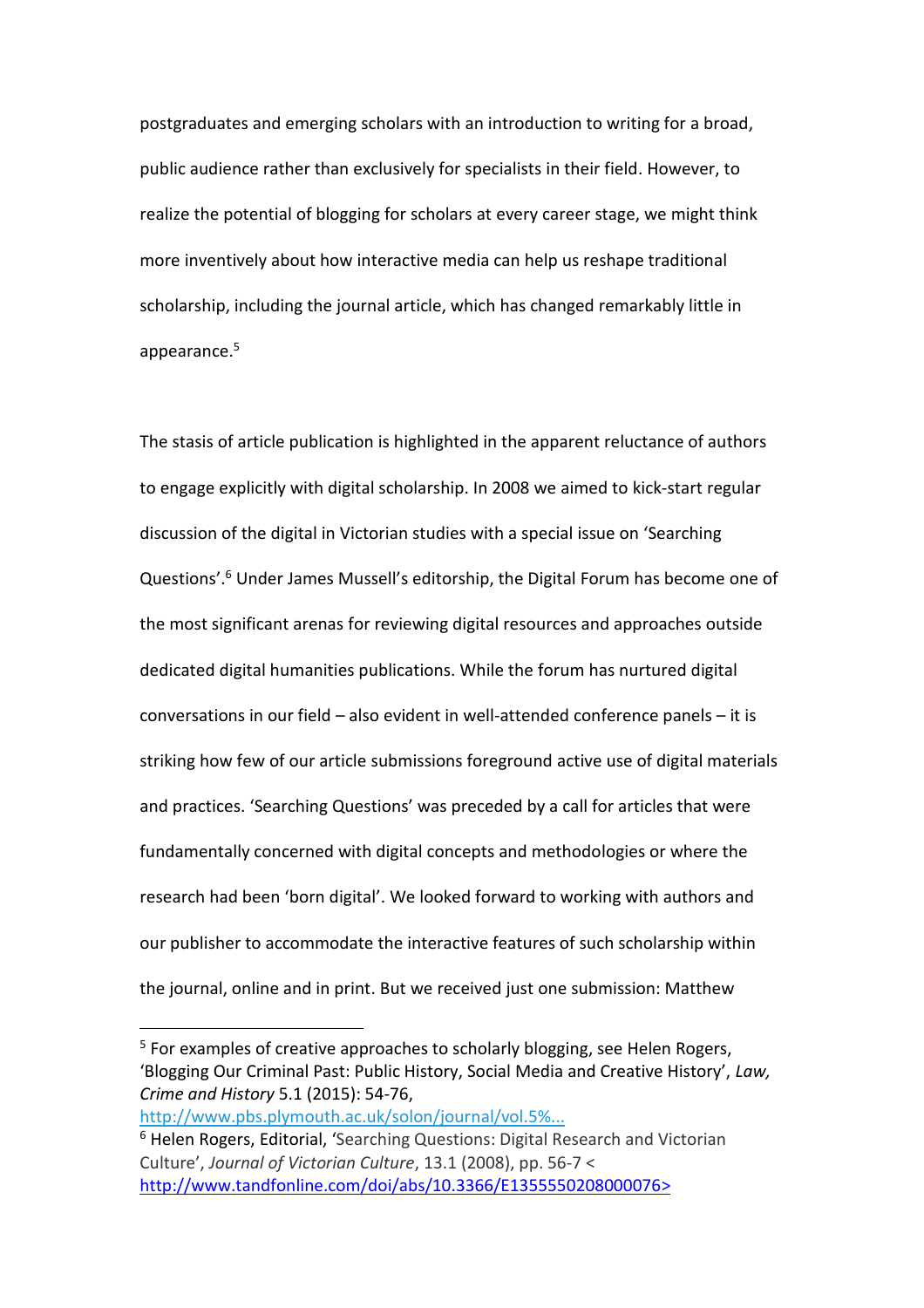postgraduates and emerging scholars with an introduction to writing for a broad, public audience rather than exclusively for specialists in their field. However, to realize the potential of blogging for scholars at every career stage, we might think more inventively about how interactive media can help us reshape traditional scholarship, including the journal article, which has changed remarkably little in appearance.<sup>5</sup>

The stasis of article publication is highlighted in the apparent reluctance of authors to engage explicitly with digital scholarship. In 2008 we aimed to kick-start regular discussion of the digital in Victorian studies with a special issue on 'Searching Questions'.<sup>6</sup> Under James Mussell's editorship, the Digital Forum has become one of the most significant arenas for reviewing digital resources and approaches outside dedicated digital humanities publications. While the forum has nurtured digital conversations in our field – also evident in well-attended conference panels – it is striking how few of our article submissions foreground active use of digital materials and practices. 'Searching Questions' was preceded by a call for articles that were fundamentally concerned with digital concepts and methodologies or where the research had been 'born digital'. We looked forward to working with authors and our publisher to accommodate the interactive features of such scholarship within the journal, online and in print. But we received just one submission: Matthew

 $\overline{a}$ 

<sup>5</sup> For examples of creative approaches to scholarly blogging, see Helen Rogers, 'Blogging Our Criminal Past: Public History, Social Media and Creative History', *Law, Crime and History* 5.1 (2015): 54-76,

[http://www.pbs.plymouth.ac.uk/solon/journal/vol.5%...](http://www.pbs.plymouth.ac.uk/solon/journal/vol.5%20issue1%202015/Rogers.pdf)

<sup>6</sup> Helen Rogers, Editorial, 'Searching Questions: Digital Research and Victorian Culture', *Journal of Victorian Culture*, 13.1 (2008), pp. 56-7 < [http://www.tandfonline.com/doi/abs/10.3366/E1355550208000076>](http://www.tandfonline.com/doi/abs/10.3366/E1355550208000076)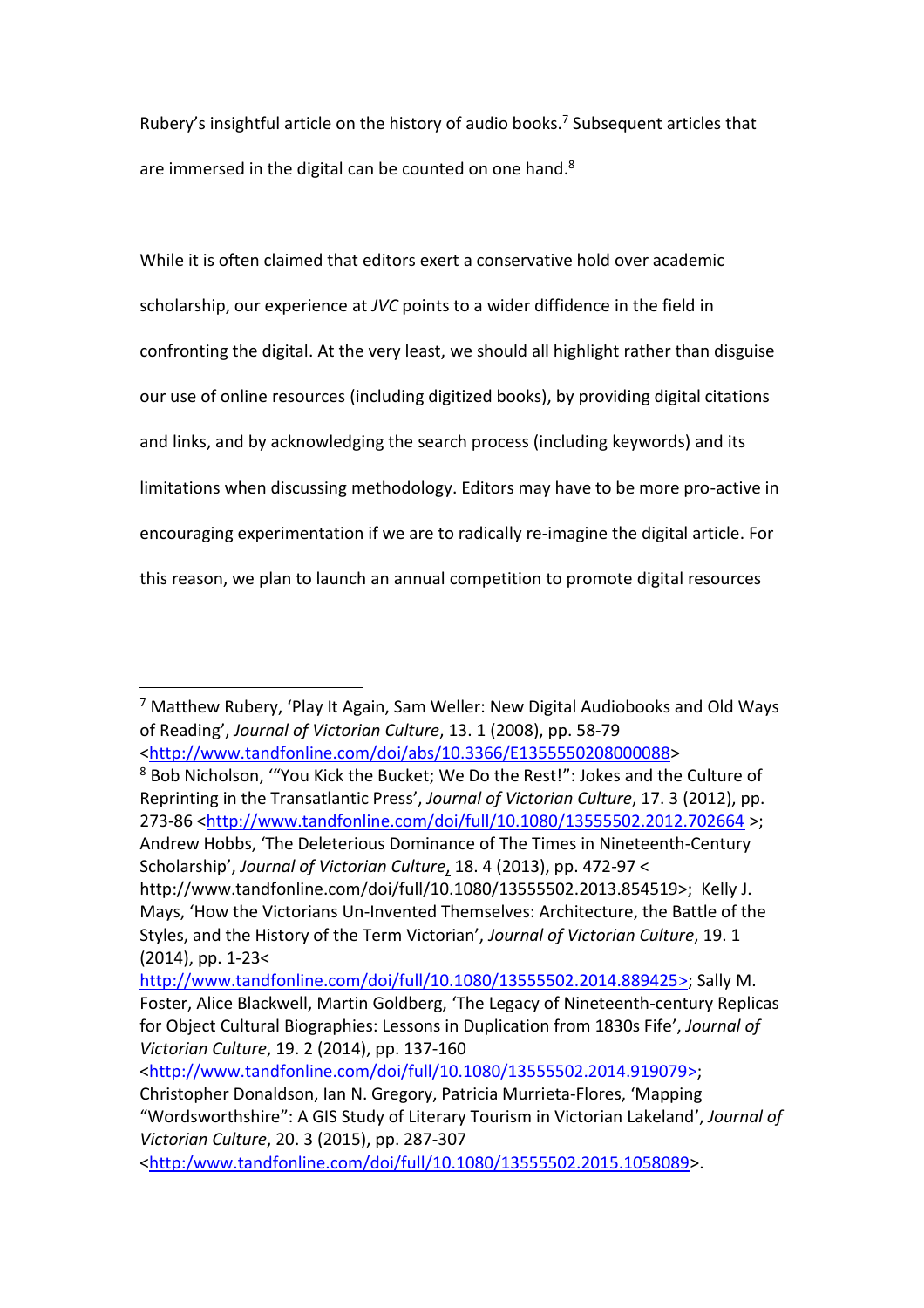Rubery's insightful article on the history of audio books.<sup>7</sup> Subsequent articles that are immersed in the digital can be counted on one hand. $8$ 

While it is often claimed that editors exert a conservative hold over academic scholarship, our experience at *JVC* points to a wider diffidence in the field in confronting the digital. At the very least, we should all highlight rather than disguise our use of online resources (including digitized books), by providing digital citations and links, and by acknowledging the search process (including keywords) and its limitations when discussing methodology. Editors may have to be more pro-active in encouraging experimentation if we are to radically re-imagine the digital article. For this reason, we plan to launch an annual competition to promote digital resources

 $\overline{a}$ <sup>7</sup> Matthew Rubery, 'Play It Again, Sam Weller: New Digital Audiobooks and Old Ways of Reading', *Journal of Victorian Culture*, 13. 1 (2008), pp. 58-79 [<http://www.tandfonline.com/doi/abs/10.3366/E1355550208000088>](http://www.tandfonline.com/doi/abs/10.3366/E1355550208000088)

<sup>8</sup> Bob Nicholson, '"You Kick the Bucket; We Do the Rest!": Jokes and the Culture of Reprinting in the Transatlantic Press', *Journal of Victorian Culture*, 17. 3 (2012), pp. 273-86 [<http://www.tandfonline.com/doi/full/10.1080/13555502.2012.702664](http://www.tandfonline.com/doi/full/10.1080/13555502.2012.702664) >; Andrew Hobbs, 'The Deleterious Dominance of The Times in Nineteenth-Century Scholarship', *Journal of Victorian Culture*, 18. 4 (2013), pp. 472-97 <

http://www.tandfonline.com/doi/full/10.1080/13555502.2013.854519>; Kelly J. Mays, 'How the Victorians Un-Invented Themselves: Architecture, the Battle of the Styles, and the History of the Term Victorian', *Journal of Victorian Culture*, 19. 1 (2014), pp. 1-23<

[http://www.tandfonline.com/doi/full/10.1080/13555502.2014.889425>](http://www.tandfonline.com/doi/full/10.1080/13555502.2014.889425); Sally M. Foster, Alice Blackwell, Martin Goldberg, 'The Legacy of Nineteenth-century Replicas for Object Cultural Biographies: Lessons in Duplication from 1830s Fife', *Journal of Victorian Culture*, 19. 2 (2014), pp. 137-160

[<sup>&</sup>lt;http://www.tandfonline.com/doi/full/10.1080/13555502.2014.919079>](http://www.tandfonline.com/doi/full/10.1080/13555502.2014.919079); Christopher Donaldson, Ian N. Gregory, Patricia Murrieta-Flores, 'Mapping

<sup>&</sup>quot;Wordsworthshire": A GIS Study of Literary Tourism in Victorian Lakeland', *Journal of Victorian Culture*, 20. 3 (2015), pp. 287-307

[<sup>&</sup>lt;http:/www.tandfonline.com/doi/full/10.1080/13555502.2015.1058089>](http://www.tandfonline.com/doi/full/10.1080/13555502.2015.1058089).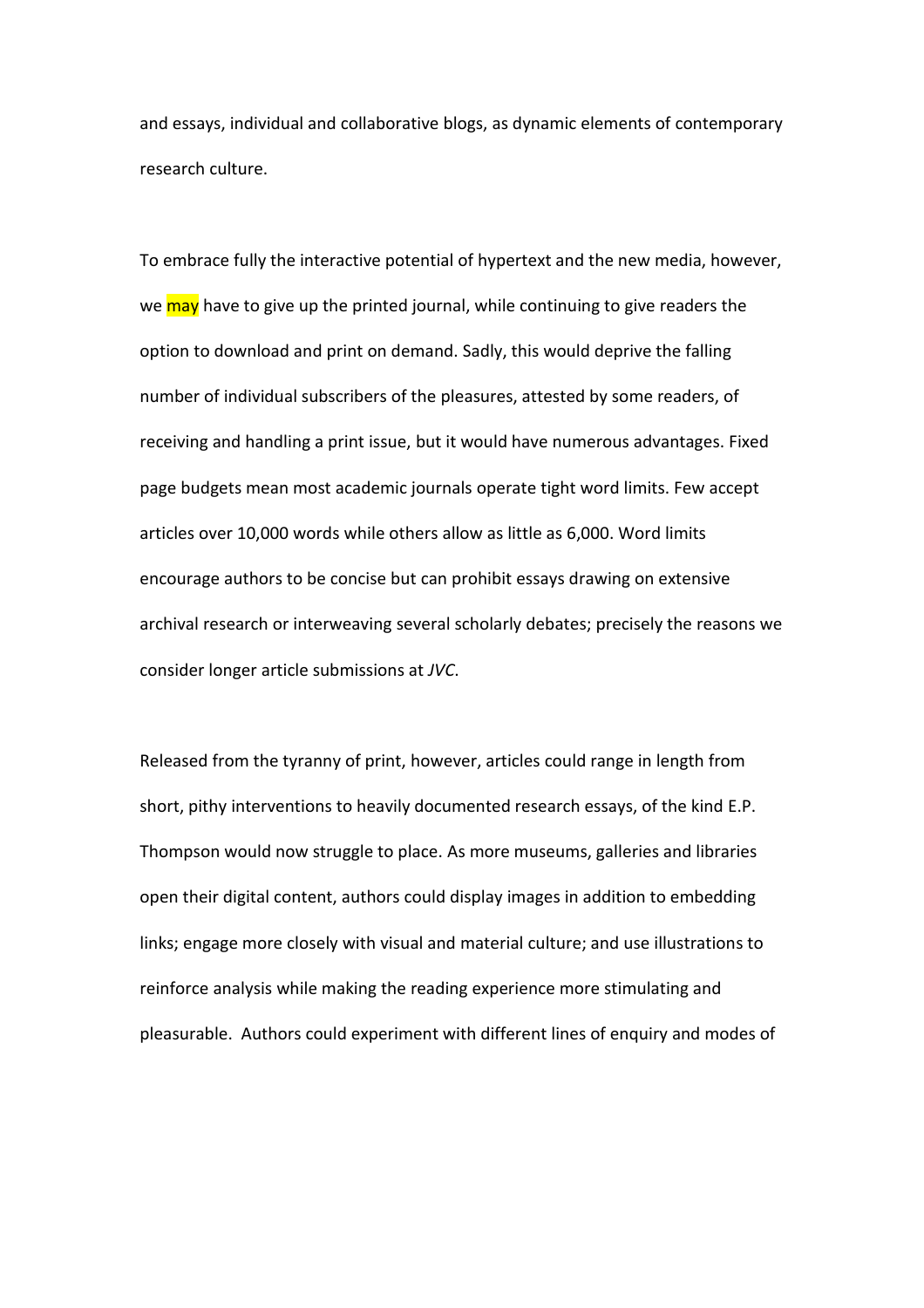and essays, individual and collaborative blogs, as dynamic elements of contemporary research culture.

To embrace fully the interactive potential of hypertext and the new media, however, we may have to give up the printed journal, while continuing to give readers the option to download and print on demand. Sadly, this would deprive the falling number of individual subscribers of the pleasures, attested by some readers, of receiving and handling a print issue, but it would have numerous advantages. Fixed page budgets mean most academic journals operate tight word limits. Few accept articles over 10,000 words while others allow as little as 6,000. Word limits encourage authors to be concise but can prohibit essays drawing on extensive archival research or interweaving several scholarly debates; precisely the reasons we consider longer article submissions at *JVC*.

Released from the tyranny of print, however, articles could range in length from short, pithy interventions to heavily documented research essays, of the kind E.P. Thompson would now struggle to place. As more museums, galleries and libraries open their digital content, authors could display images in addition to embedding links; engage more closely with visual and material culture; and use illustrations to reinforce analysis while making the reading experience more stimulating and pleasurable. Authors could experiment with different lines of enquiry and modes of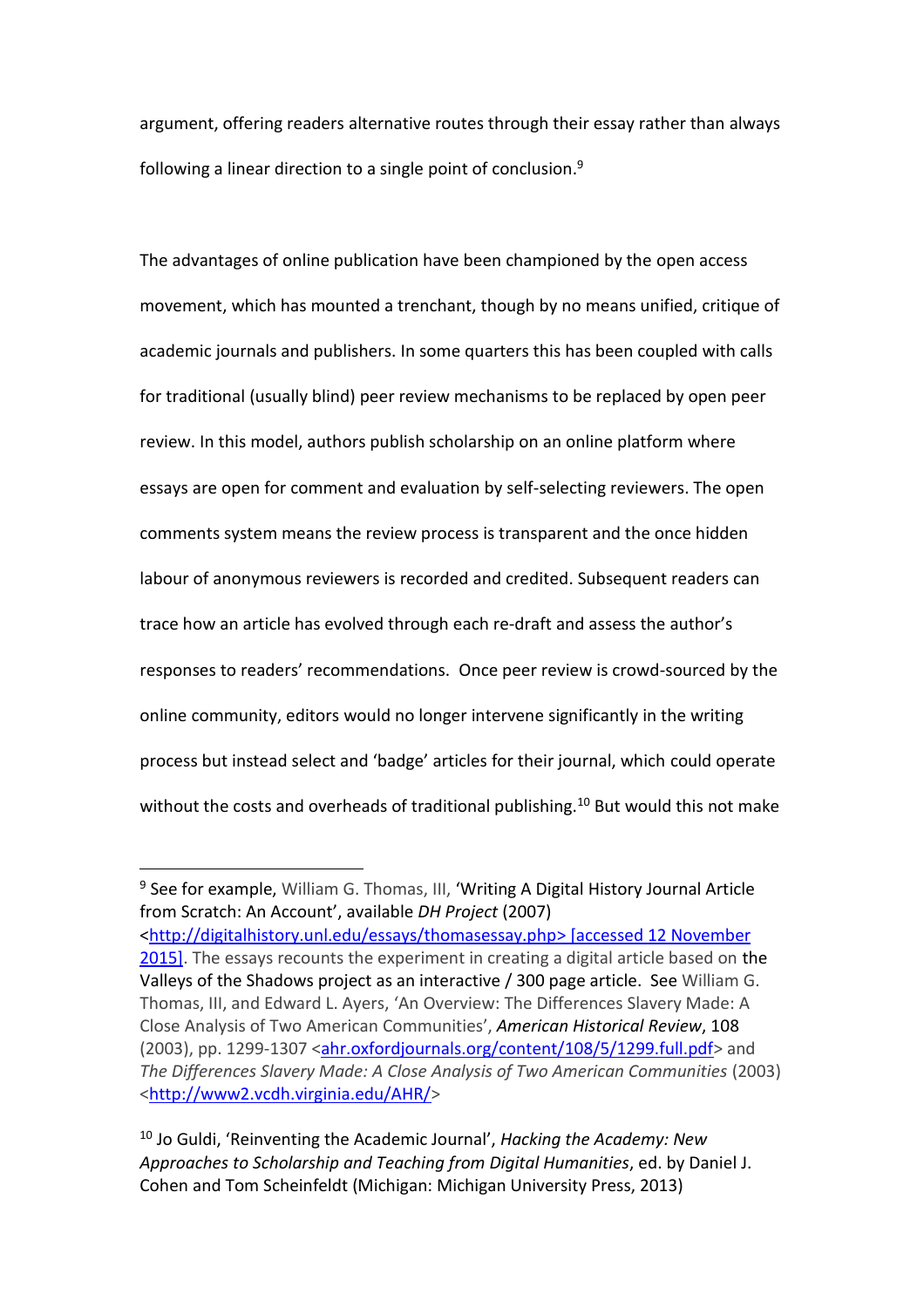argument, offering readers alternative routes through their essay rather than always following a linear direction to a single point of conclusion. $9$ 

The advantages of online publication have been championed by the open access movement, which has mounted a trenchant, though by no means unified, critique of academic journals and publishers. In some quarters this has been coupled with calls for traditional (usually blind) peer review mechanisms to be replaced by open peer review. In this model, authors publish scholarship on an online platform where essays are open for comment and evaluation by self-selecting reviewers. The open comments system means the review process is transparent and the once hidden labour of anonymous reviewers is recorded and credited. Subsequent readers can trace how an article has evolved through each re-draft and assess the author's responses to readers' recommendations. Once peer review is crowd-sourced by the online community, editors would no longer intervene significantly in the writing process but instead select and 'badge' articles for their journal, which could operate without the costs and overheads of traditional publishing.<sup>10</sup> But would this not make

 $\overline{\phantom{a}}$ 

<sup>&</sup>lt;sup>9</sup> See for example, William G. Thomas, III, 'Writing A Digital History Journal Article from Scratch: An Account', available *DH Project* (2007) [<http://digitalhistory.unl.edu/essays/thomasessay.php>](http://digitalhistory.unl.edu/essays/thomasessay.php) [accessed 12 November 2015]. The essays recounts the experiment in creating a digital article based on the Valleys of the Shadows project as an interactive / 300 page article. See William G. Thomas, III, and Edward L. Ayers, 'An Overview: The Differences Slavery Made: A Close Analysis of Two American Communities', *[American Historical Review](http://www.vcdh.virginia.edu/AHR)*, 108 (2003), pp. 1299-1307 [<ahr.oxfordjournals.org/content/108/5/1299.full.pdf>](file:///C:/Users/mcchroge/AppData/Local/Microsoft/Windows/Temporary%20Internet%20Files/Content.Outlook/BP4XGF7H/ahr.oxfordjournals.org/content/108/5/1299.full.pdf) and *The Differences Slavery Made: A Close Analysis of Two American Communities* (2003) [<http://www2.vcdh.virginia.edu/AHR/>](http://www2.vcdh.virginia.edu/AHR/)

<sup>10</sup> Jo Guldi, 'Reinventing the Academic Journal', *Hacking the Academy: New Approaches to Scholarship and Teaching from Digital Humanities*, ed. by Daniel J. Cohen and Tom Scheinfeldt (Michigan: Michigan University Press, 2013)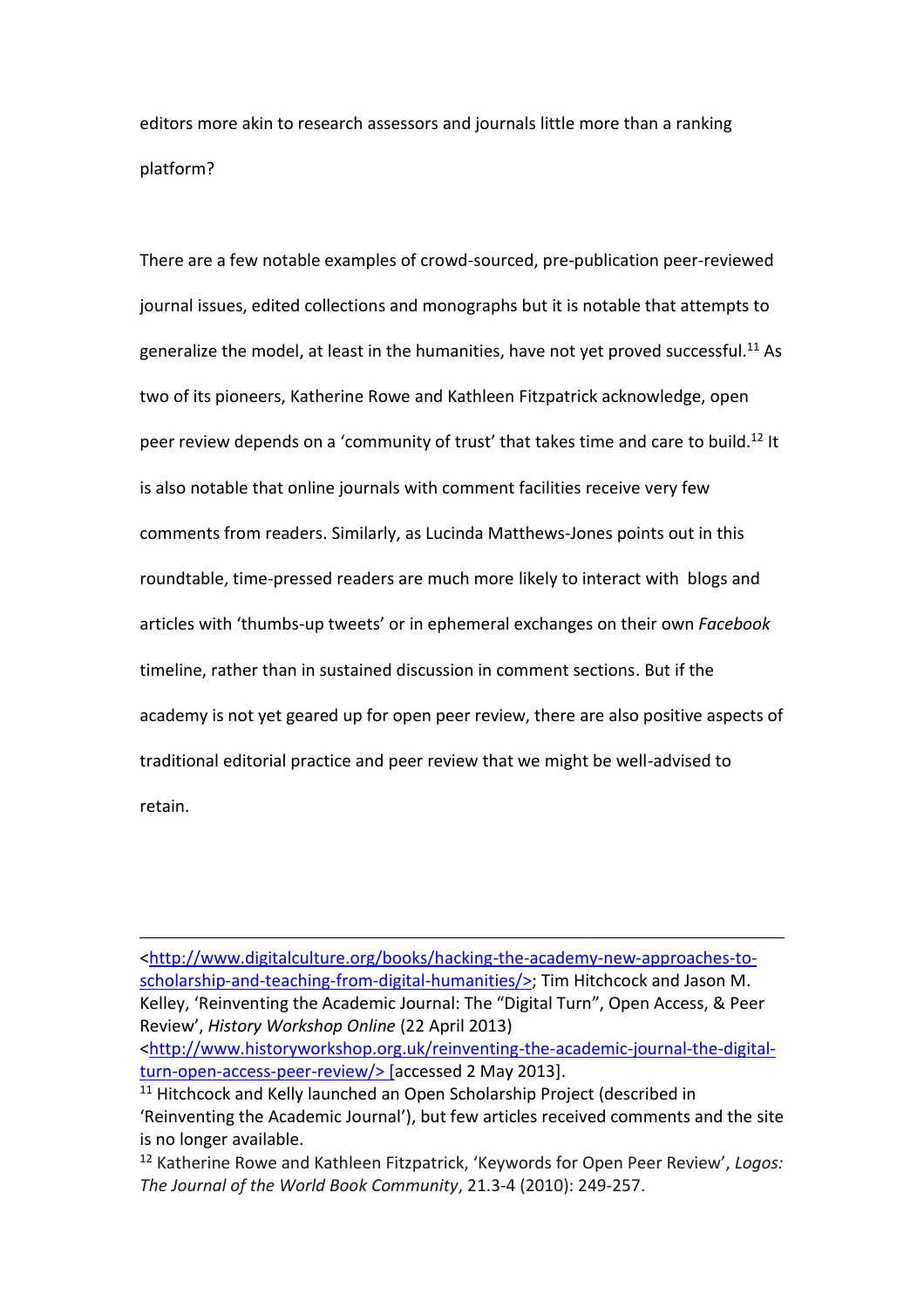editors more akin to research assessors and journals little more than a ranking platform?

There are a few notable examples of crowd-sourced, pre-publication peer-reviewed journal issues, edited collections and monographs but it is notable that attempts to generalize the model, at least in the humanities, have not yet proved successful.<sup>11</sup> As two of its pioneers, Katherine Rowe and Kathleen Fitzpatrick acknowledge, open peer review depends on a 'community of trust' that takes time and care to build.<sup>12</sup> It is also notable that online journals with comment facilities receive very few comments from readers. Similarly, as Lucinda Matthews-Jones points out in this roundtable, time-pressed readers are much more likely to interact with blogs and articles with 'thumbs-up tweets' or in ephemeral exchanges on their own *Facebook* timeline, rather than in sustained discussion in comment sections. But if the academy is not yet geared up for open peer review, there are also positive aspects of traditional editorial practice and peer review that we might be well-advised to retain.

[<http://www.digitalculture.org/books/hacking-the-academy-new-approaches-to](http://www.digitalculture.org/books/hacking-the-academy-new-approaches-to-scholarship-and-teaching-from-digital-humanities/)[scholarship-and-teaching-from-digital-humanities/>](http://www.digitalculture.org/books/hacking-the-academy-new-approaches-to-scholarship-and-teaching-from-digital-humanities/); Tim Hitchcock and Jason M. Kelley, 'Reinventing the Academic Journal: The "Digital Turn", Open Access, & Peer Review', *History Workshop Online* (22 April 2013)

 $\overline{a}$ 

[<http://www.historyworkshop.org.uk/reinventing-the-academic-journal-the-digital](http://www.historyworkshop.org.uk/reinventing-the-academic-journal-the-digital-turn-open-access-peer-review/)[turn-open-access-peer-review/>](http://www.historyworkshop.org.uk/reinventing-the-academic-journal-the-digital-turn-open-access-peer-review/) [accessed 2 May 2013].

<sup>&</sup>lt;sup>11</sup> Hitchcock and Kelly launched an Open Scholarship Project (described in 'Reinventing the Academic Journal'), but few articles received comments and the site is no longer available.

<sup>12</sup> Katherine Rowe and Kathleen Fitzpatrick, 'Keywords for Open Peer Review', *Logos: The Journal of the World Book Community*, 21.3-4 (2010): 249-257.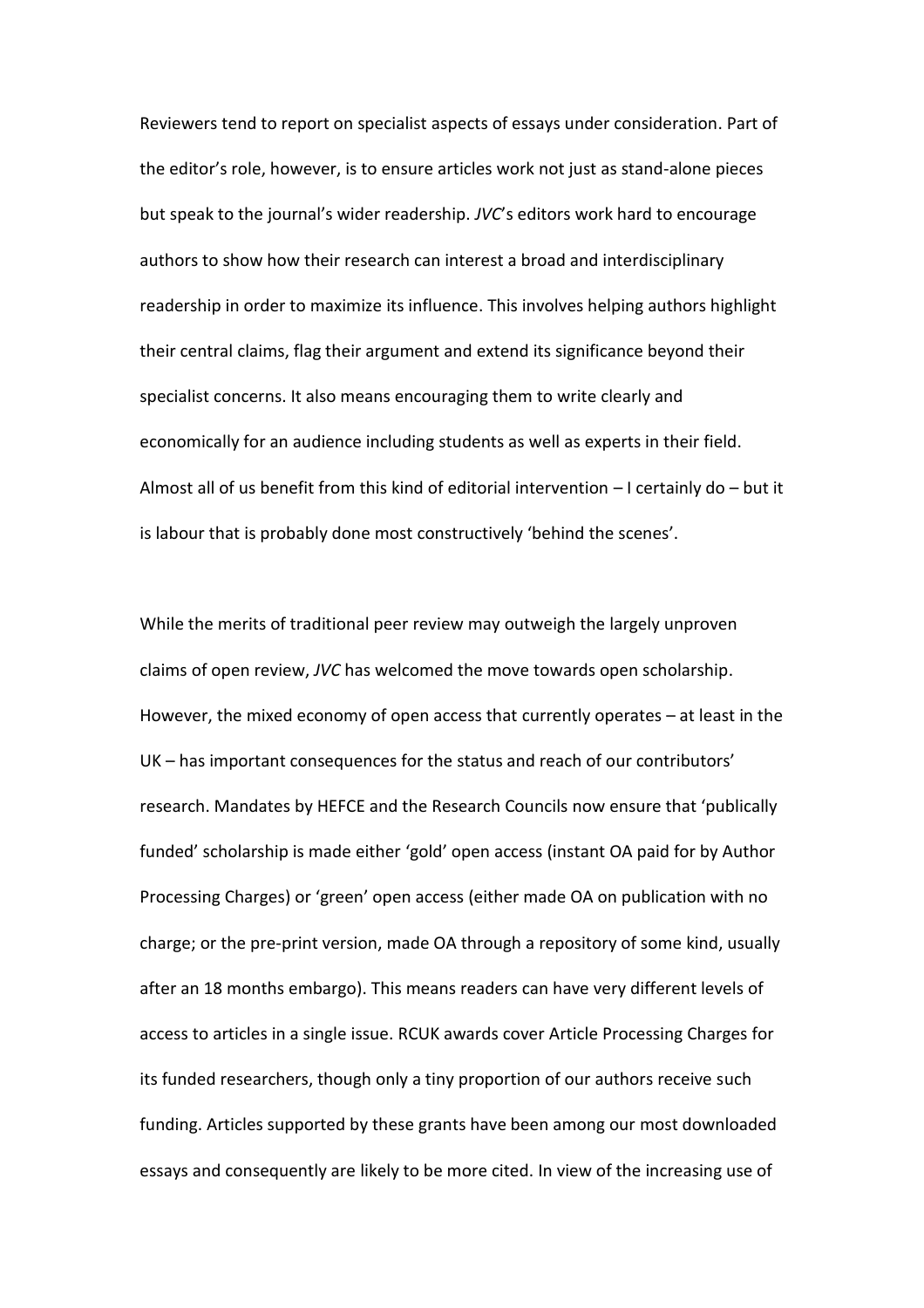Reviewers tend to report on specialist aspects of essays under consideration. Part of the editor's role, however, is to ensure articles work not just as stand-alone pieces but speak to the journal's wider readership. *JVC*'s editors work hard to encourage authors to show how their research can interest a broad and interdisciplinary readership in order to maximize its influence. This involves helping authors highlight their central claims, flag their argument and extend its significance beyond their specialist concerns. It also means encouraging them to write clearly and economically for an audience including students as well as experts in their field. Almost all of us benefit from this kind of editorial intervention – I certainly do – but it is labour that is probably done most constructively 'behind the scenes'.

While the merits of traditional peer review may outweigh the largely unproven claims of open review, *JVC* has welcomed the move towards open scholarship. However, the mixed economy of open access that currently operates – at least in the UK – has important consequences for the status and reach of our contributors' research. Mandates by HEFCE and the Research Councils now ensure that 'publically funded' scholarship is made either 'gold' open access (instant OA paid for by Author Processing Charges) or 'green' open access (either made OA on publication with no charge; or the pre-print version, made OA through a repository of some kind, usually after an 18 months embargo). This means readers can have very different levels of access to articles in a single issue. RCUK awards cover Article Processing Charges for its funded researchers, though only a tiny proportion of our authors receive such funding. Articles supported by these grants have been among our most downloaded essays and consequently are likely to be more cited. In view of the increasing use of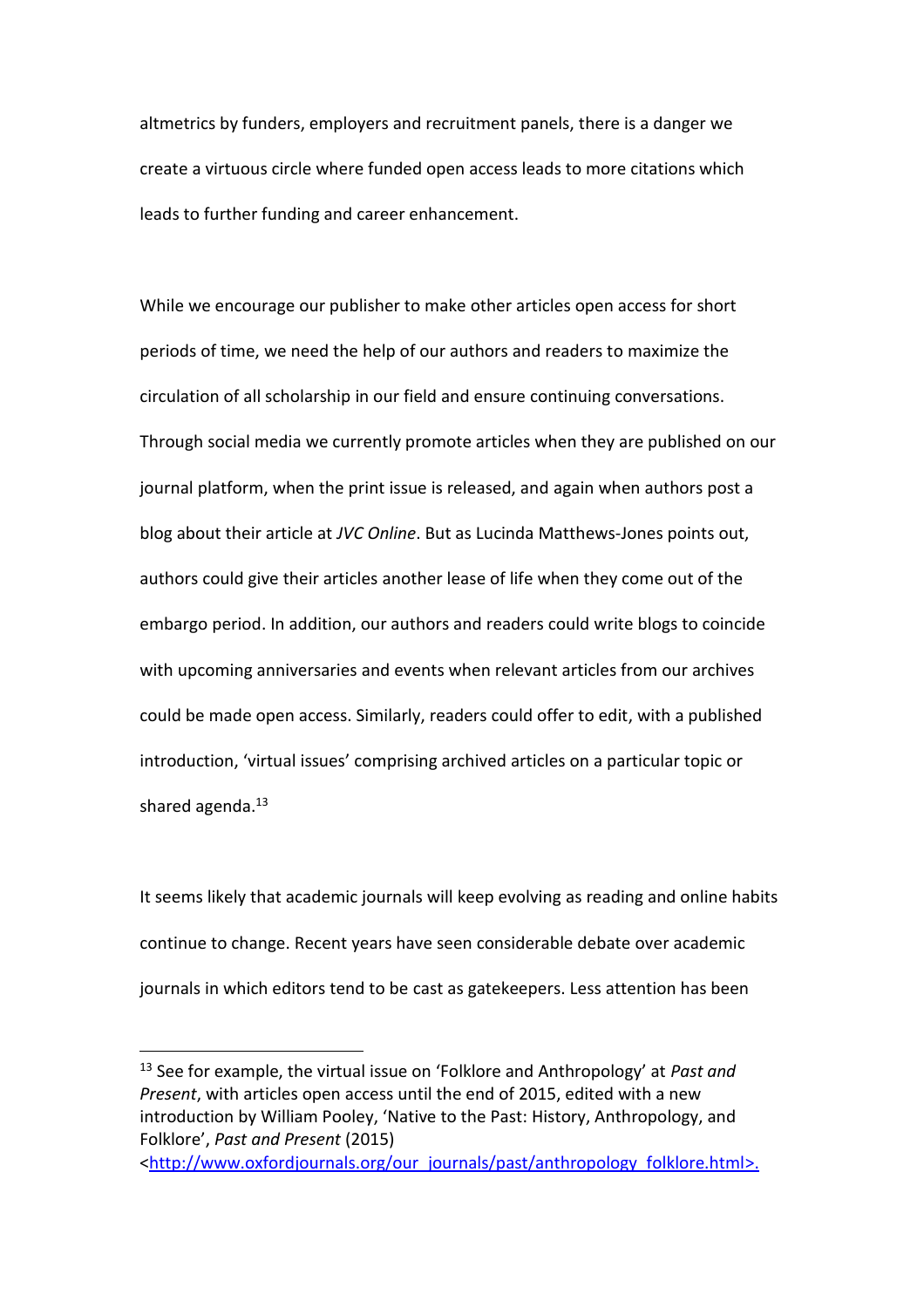altmetrics by funders, employers and recruitment panels, there is a danger we create a virtuous circle where funded open access leads to more citations which leads to further funding and career enhancement.

While we encourage our publisher to make other articles open access for short periods of time, we need the help of our authors and readers to maximize the circulation of all scholarship in our field and ensure continuing conversations. Through social media we currently promote articles when they are published on our journal platform, when the print issue is released, and again when authors post a blog about their article at *JVC Online*. But as Lucinda Matthews-Jones points out, authors could give their articles another lease of life when they come out of the embargo period. In addition, our authors and readers could write blogs to coincide with upcoming anniversaries and events when relevant articles from our archives could be made open access. Similarly, readers could offer to edit, with a published introduction, 'virtual issues' comprising archived articles on a particular topic or shared agenda. $^{13}$ 

It seems likely that academic journals will keep evolving as reading and online habits continue to change. Recent years have seen considerable debate over academic journals in which editors tend to be cast as gatekeepers. Less attention has been

 $\overline{a}$ 

<sup>13</sup> See for example, the virtual issue on 'Folklore and Anthropology' at *Past and Present*, with articles open access until the end of 2015, edited with a new introduction by William Pooley, '[Native to the Past: History, Anthropology, and](http://past.oxfordjournals.org/content/early/2015/09/29/pastj.gtv038.full)  [Folklore](http://past.oxfordjournals.org/content/early/2015/09/29/pastj.gtv038.full)', *Past and Present* (2015)

[<sup>&</sup>lt;http://www.oxfordjournals.org/our\\_journals/past/anthropology\\_folklore.html>](http://www.oxfordjournals.org/our_journals/past/anthropology_folklore.html).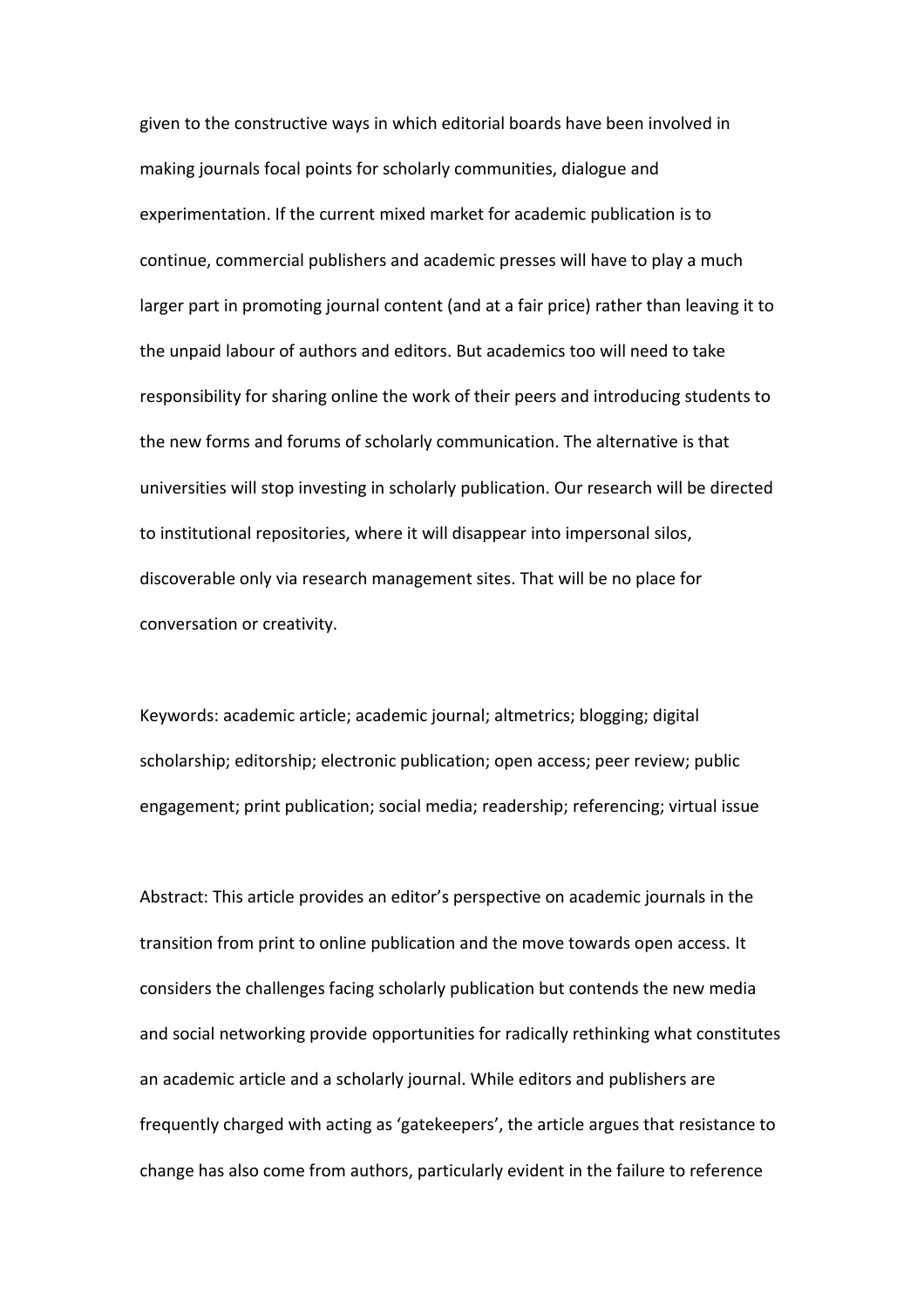given to the constructive ways in which editorial boards have been involved in making journals focal points for scholarly communities, dialogue and experimentation. If the current mixed market for academic publication is to continue, commercial publishers and academic presses will have to play a much larger part in promoting journal content (and at a fair price) rather than leaving it to the unpaid labour of authors and editors. But academics too will need to take responsibility for sharing online the work of their peers and introducing students to the new forms and forums of scholarly communication. The alternative is that universities will stop investing in scholarly publication. Our research will be directed to institutional repositories, where it will disappear into impersonal silos, discoverable only via research management sites. That will be no place for conversation or creativity.

Keywords: academic article; academic journal; altmetrics; blogging; digital scholarship; editorship; electronic publication; open access; peer review; public engagement; print publication; social media; readership; referencing; virtual issue

Abstract: This article provides an editor's perspective on academic journals in the transition from print to online publication and the move towards open access. It considers the challenges facing scholarly publication but contends the new media and social networking provide opportunities for radically rethinking what constitutes an academic article and a scholarly journal. While editors and publishers are frequently charged with acting as 'gatekeepers', the article argues that resistance to change has also come from authors, particularly evident in the failure to reference